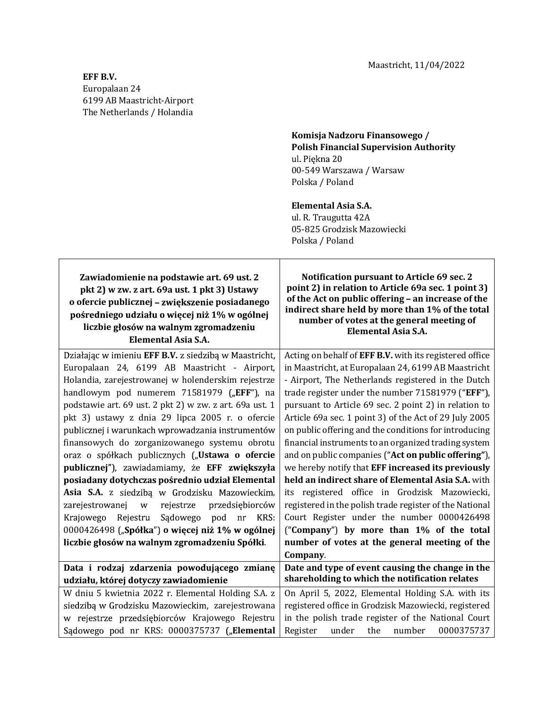Maastricht, 11/04/2022

 $\overline{\phantom{a}}$ 

## EFF B.V. Europalaan 24 6199 AB Maastricht-Airport The Netherlands / Holandia

 $\mathsf{r}$ 

## Komisja Nadzoru Finansowego / Polish Financial Supervision Authority ul. Piękna 20 00-549 Warszawa / Warsaw Polska / Poland

## Elemental Asia S.A.

 ul. R. Traugutta 42A 05-825 Grodzisk Mazowiecki Polska / Poland

| Zawiadomienie na podstawie art. 69 ust. 2<br>pkt 2) w zw. z art. 69a ust. 1 pkt 3) Ustawy<br>o ofercie publicznej - zwiększenie posiadanego<br>pośredniego udziału o więcej niż 1% w ogólnej<br>liczbie głosów na walnym zgromadzeniu<br><b>Elemental Asia S.A.</b> | Notification pursuant to Article 69 sec. 2<br>point 2) in relation to Article 69a sec. 1 point 3)<br>of the Act on public offering - an increase of the<br>indirect share held by more than 1% of the total<br>number of votes at the general meeting of<br>Elemental Asia S.A. |
|---------------------------------------------------------------------------------------------------------------------------------------------------------------------------------------------------------------------------------------------------------------------|---------------------------------------------------------------------------------------------------------------------------------------------------------------------------------------------------------------------------------------------------------------------------------|
| Działając w imieniu EFF B.V. z siedzibą w Maastricht,                                                                                                                                                                                                               | Acting on behalf of EFF B.V. with its registered office                                                                                                                                                                                                                         |
| Europalaan 24, 6199 AB Maastricht - Airport,                                                                                                                                                                                                                        | in Maastricht, at Europalaan 24, 6199 AB Maastricht                                                                                                                                                                                                                             |
| Holandia, zarejestrowanej w holenderskim rejestrze                                                                                                                                                                                                                  | - Airport, The Netherlands registered in the Dutch                                                                                                                                                                                                                              |
| handlowym pod numerem 71581979 ("EFF"), na                                                                                                                                                                                                                          | trade register under the number 71581979 ("EFF"),                                                                                                                                                                                                                               |
| podstawie art. 69 ust. 2 pkt 2) w zw. z art. 69a ust. 1                                                                                                                                                                                                             | pursuant to Article 69 sec. 2 point 2) in relation to                                                                                                                                                                                                                           |
| pkt 3) ustawy z dnia 29 lipca 2005 r. o ofercie                                                                                                                                                                                                                     | Article 69a sec. 1 point 3) of the Act of 29 July 2005                                                                                                                                                                                                                          |
| publicznej i warunkach wprowadzania instrumentów                                                                                                                                                                                                                    | on public offering and the conditions for introducing                                                                                                                                                                                                                           |
| finansowych do zorganizowanego systemu obrotu                                                                                                                                                                                                                       | financial instruments to an organized trading system                                                                                                                                                                                                                            |
| oraz o spółkach publicznych ("Ustawa o ofercie                                                                                                                                                                                                                      | and on public companies ("Act on public offering"),                                                                                                                                                                                                                             |
| publicznej"), zawiadamiamy, że EFF zwiększyła                                                                                                                                                                                                                       | we hereby notify that EFF increased its previously                                                                                                                                                                                                                              |
| posiadany dotychczas pośrednio udział Elemental                                                                                                                                                                                                                     | held an indirect share of Elemental Asia S.A. with                                                                                                                                                                                                                              |
| Asia S.A. z siedzibą w Grodzisku Mazowieckim,                                                                                                                                                                                                                       | its registered office in Grodzisk Mazowiecki,                                                                                                                                                                                                                                   |
| zarejestrowanej w<br>rejestrze<br>przedsiębiorców                                                                                                                                                                                                                   | registered in the polish trade register of the National                                                                                                                                                                                                                         |
| Sądowego pod nr KRS:<br>Krajowego Rejestru                                                                                                                                                                                                                          | Court Register under the number 0000426498                                                                                                                                                                                                                                      |
| 0000426498 ("Spółka") o więcej niż 1% w ogólnej                                                                                                                                                                                                                     | ("Company") by more than 1% of the total                                                                                                                                                                                                                                        |
| liczbie głosów na walnym zgromadzeniu Spółki.                                                                                                                                                                                                                       | number of votes at the general meeting of the                                                                                                                                                                                                                                   |
|                                                                                                                                                                                                                                                                     | Company.                                                                                                                                                                                                                                                                        |
| Data i rodzaj zdarzenia powodującego zmianę                                                                                                                                                                                                                         | Date and type of event causing the change in the                                                                                                                                                                                                                                |
| udziału, której dotyczy zawiadomienie                                                                                                                                                                                                                               | shareholding to which the notification relates                                                                                                                                                                                                                                  |
| W dniu 5 kwietnia 2022 r. Elemental Holding S.A. z                                                                                                                                                                                                                  | On April 5, 2022, Elemental Holding S.A. with its                                                                                                                                                                                                                               |
| siedzibą w Grodzisku Mazowieckim, zarejestrowana                                                                                                                                                                                                                    | registered office in Grodzisk Mazowiecki, registered                                                                                                                                                                                                                            |
| w rejestrze przedsiębiorców Krajowego Rejestru                                                                                                                                                                                                                      | in the polish trade register of the National Court                                                                                                                                                                                                                              |
| Sądowego pod nr KRS: 0000375737 ("Elemental                                                                                                                                                                                                                         | 0000375737<br>Register<br>under<br>the number                                                                                                                                                                                                                                   |

┯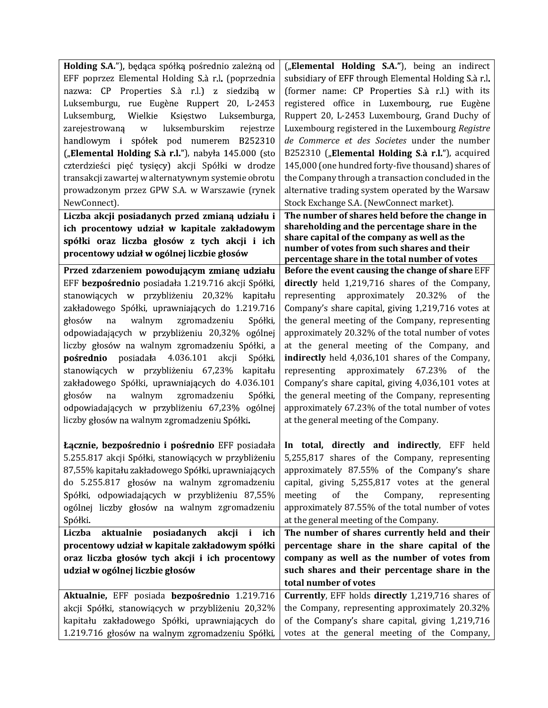| Holding S.A."), będąca spółką pośrednio zależną od                                                   | ("Elemental Holding S.A."), being an indirect        |
|------------------------------------------------------------------------------------------------------|------------------------------------------------------|
| EFF poprzez Elemental Holding S.à r.l. (poprzednia                                                   | subsidiary of EFF through Elemental Holding S.à r.l. |
| nazwa: CP Properties S.à r.l.) z siedzibą w                                                          | (former name: CP Properties S.à r.l.) with its       |
| Luksemburgu, rue Eugène Ruppert 20, L-2453                                                           | registered office in Luxembourg, rue Eugène          |
| Luksemburg, Wielkie Księstwo Luksemburga,                                                            | Ruppert 20, L-2453 Luxembourg, Grand Duchy of        |
| luksemburskim<br>zarejestrowaną w<br>rejestrze                                                       | Luxembourg registered in the Luxembourg Registre     |
| handlowym i spółek pod numerem B252310                                                               | de Commerce et des Societes under the number         |
| ("Elemental Holding S.à r.l."), nabyła 145.000 (sto                                                  | B252310 ("Elemental Holding S.à r.l."), acquired     |
| czterdzieści pięć tysięcy) akcji Spółki w drodze                                                     | 145,000 (one hundred forty-five thousand) shares of  |
| transakcji zawartej w alternatywnym systemie obrotu                                                  | the Company through a transaction concluded in the   |
| prowadzonym przez GPW S.A. w Warszawie (rynek                                                        | alternative trading system operated by the Warsaw    |
| NewConnect).                                                                                         | Stock Exchange S.A. (NewConnect market).             |
| Liczba akcji posiadanych przed zmianą udziału i                                                      | The number of shares held before the change in       |
| ich procentowy udział w kapitale zakładowym                                                          | shareholding and the percentage share in the         |
| spółki oraz liczba głosów z tych akcji i ich                                                         | share capital of the company as well as the          |
| procentowy udział w ogólnej liczbie głosów                                                           | number of votes from such shares and their           |
|                                                                                                      | percentage share in the total number of votes        |
| Przed zdarzeniem powodującym zmianę udziału                                                          | Before the event causing the change of share EFF     |
| EFF bezpośrednio posiadała 1.219.716 akcji Spółki,                                                   | directly held 1,219,716 shares of the Company,       |
| stanowiących w przybliżeniu 20,32% kapitału                                                          | representing approximately 20.32% of the             |
| zakładowego Spółki, uprawniających do 1.219.716                                                      | Company's share capital, giving 1,219,716 votes at   |
| głosów<br>walnym<br>na<br>zgromadzeniu<br>Spółki,                                                    | the general meeting of the Company, representing     |
| odpowiadających w przybliżeniu 20,32% ogólnej                                                        | approximately 20.32% of the total number of votes    |
| liczby głosów na walnym zgromadzeniu Spółki, a                                                       | at the general meeting of the Company, and           |
| pośrednio posiadała 4.036.101 akcji<br>Spółki,                                                       | indirectly held 4,036,101 shares of the Company,     |
| stanowiących w przybliżeniu 67,23%<br>kapitału                                                       | representing approximately 67.23% of the             |
| zakładowego Spółki, uprawniających do 4.036.101                                                      | Company's share capital, giving 4,036,101 votes at   |
| walnym<br>głosów<br>na<br>zgromadzeniu<br>Spółki,                                                    | the general meeting of the Company, representing     |
| odpowiadających w przybliżeniu 67,23% ogólnej                                                        | approximately 67.23% of the total number of votes    |
| liczby głosów na walnym zgromadzeniu Spółki.                                                         | at the general meeting of the Company.               |
|                                                                                                      |                                                      |
| <b>Łącznie, bezpośrednio i pośrednio EFF</b> posiadała   In total, directly and indirectly, EFF held |                                                      |
| 5.255.817 akcji Spółki, stanowiących w przybliżeniu 5,255,817 shares of the Company, representing    |                                                      |
| 87,55% kapitału zakładowego Spółki, uprawniających                                                   | approximately 87.55% of the Company's share          |
| do 5.255.817 głosów na walnym zgromadzeniu                                                           | capital, giving 5,255,817 votes at the general       |
| Spółki, odpowiadających w przybliżeniu 87,55%                                                        | meeting<br>of<br>the<br>Company,<br>representing     |
| ogólnej liczby głosów na walnym zgromadzeniu                                                         | approximately 87.55% of the total number of votes    |
| Spółki.                                                                                              | at the general meeting of the Company.               |
| Liczba<br>aktualnie posiadanych akcji i ich                                                          | The number of shares currently held and their        |
| procentowy udział w kapitale zakładowym spółki                                                       | percentage share in the share capital of the         |
| oraz liczba głosów tych akcji i ich procentowy                                                       | company as well as the number of votes from          |
|                                                                                                      | such shares and their percentage share in the        |
| udział w ogólnej liczbie głosów                                                                      |                                                      |
|                                                                                                      | total number of votes                                |
| Aktualnie, EFF posiada bezpośrednio 1.219.716                                                        | Currently, EFF holds directly 1,219,716 shares of    |
| akcji Spółki, stanowiących w przybliżeniu 20,32%                                                     | the Company, representing approximately 20.32%       |
| kapitału zakładowego Spółki, uprawniających do                                                       | of the Company's share capital, giving 1,219,716     |
| 1.219.716 głosów na walnym zgromadzeniu Spółki,                                                      | votes at the general meeting of the Company,         |